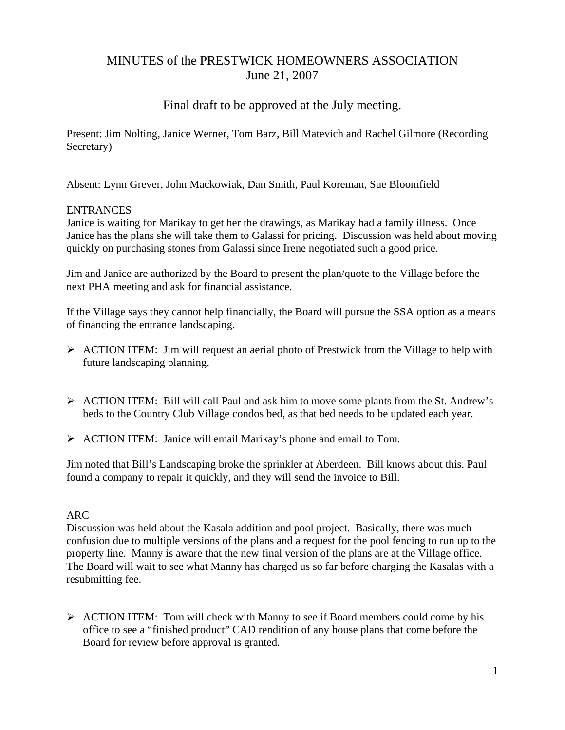# MINUTES of the PRESTWICK HOMEOWNERS ASSOCIATION June 21, 2007

## Final draft to be approved at the July meeting.

Present: Jim Nolting, Janice Werner, Tom Barz, Bill Matevich and Rachel Gilmore (Recording Secretary)

Absent: Lynn Grever, John Mackowiak, Dan Smith, Paul Koreman, Sue Bloomfield

## **ENTRANCES**

Janice is waiting for Marikay to get her the drawings, as Marikay had a family illness. Once Janice has the plans she will take them to Galassi for pricing. Discussion was held about moving quickly on purchasing stones from Galassi since Irene negotiated such a good price.

Jim and Janice are authorized by the Board to present the plan/quote to the Village before the next PHA meeting and ask for financial assistance.

If the Village says they cannot help financially, the Board will pursue the SSA option as a means of financing the entrance landscaping.

- ¾ ACTION ITEM: Jim will request an aerial photo of Prestwick from the Village to help with future landscaping planning.
- $\triangleright$  ACTION ITEM: Bill will call Paul and ask him to move some plants from the St. Andrew's beds to the Country Club Village condos bed, as that bed needs to be updated each year.
- ¾ ACTION ITEM: Janice will email Marikay's phone and email to Tom.

Jim noted that Bill's Landscaping broke the sprinkler at Aberdeen. Bill knows about this. Paul found a company to repair it quickly, and they will send the invoice to Bill.

## ARC

Discussion was held about the Kasala addition and pool project. Basically, there was much confusion due to multiple versions of the plans and a request for the pool fencing to run up to the property line. Manny is aware that the new final version of the plans are at the Village office. The Board will wait to see what Manny has charged us so far before charging the Kasalas with a resubmitting fee.

 $\triangleright$  ACTION ITEM: Tom will check with Manny to see if Board members could come by his office to see a "finished product" CAD rendition of any house plans that come before the Board for review before approval is granted.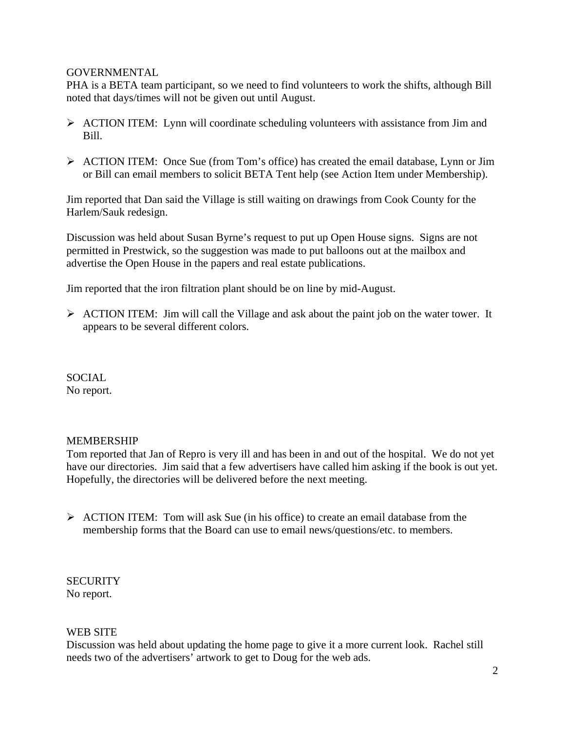#### **GOVERNMENTAL**

PHA is a BETA team participant, so we need to find volunteers to work the shifts, although Bill noted that days/times will not be given out until August.

- $\triangleright$  ACTION ITEM: Lynn will coordinate scheduling volunteers with assistance from Jim and Bill.
- ¾ ACTION ITEM: Once Sue (from Tom's office) has created the email database, Lynn or Jim or Bill can email members to solicit BETA Tent help (see Action Item under Membership).

Jim reported that Dan said the Village is still waiting on drawings from Cook County for the Harlem/Sauk redesign.

Discussion was held about Susan Byrne's request to put up Open House signs. Signs are not permitted in Prestwick, so the suggestion was made to put balloons out at the mailbox and advertise the Open House in the papers and real estate publications.

Jim reported that the iron filtration plant should be on line by mid-August.

 $\triangleright$  ACTION ITEM: Jim will call the Village and ask about the paint job on the water tower. It appears to be several different colors.

SOCIAL No report.

## MEMBERSHIP

Tom reported that Jan of Repro is very ill and has been in and out of the hospital. We do not yet have our directories. Jim said that a few advertisers have called him asking if the book is out yet. Hopefully, the directories will be delivered before the next meeting.

 $\triangleright$  ACTION ITEM: Tom will ask Sue (in his office) to create an email database from the membership forms that the Board can use to email news/questions/etc. to members.

**SECURITY** No report.

## WEB SITE

Discussion was held about updating the home page to give it a more current look. Rachel still needs two of the advertisers' artwork to get to Doug for the web ads.